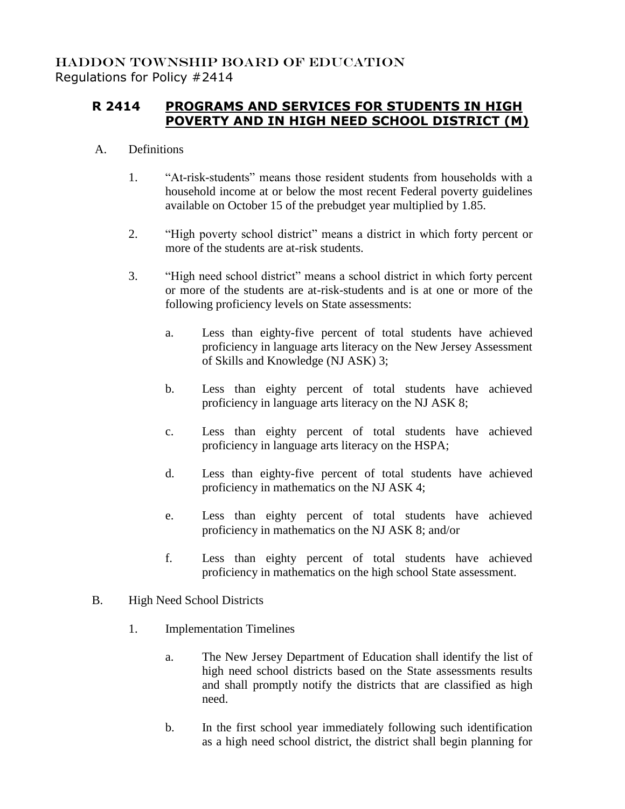## **R 2414 PROGRAMS AND SERVICES FOR STUDENTS IN HIGH POVERTY AND IN HIGH NEED SCHOOL DISTRICT (M)**

## A. Definitions

- 1. "At-risk-students" means those resident students from households with a household income at or below the most recent Federal poverty guidelines available on October 15 of the prebudget year multiplied by 1.85.
- 2. "High poverty school district" means a district in which forty percent or more of the students are at-risk students.
- 3. "High need school district" means a school district in which forty percent or more of the students are at-risk-students and is at one or more of the following proficiency levels on State assessments:
	- a. Less than eighty-five percent of total students have achieved proficiency in language arts literacy on the New Jersey Assessment of Skills and Knowledge (NJ ASK) 3;
	- b. Less than eighty percent of total students have achieved proficiency in language arts literacy on the NJ ASK 8;
	- c. Less than eighty percent of total students have achieved proficiency in language arts literacy on the HSPA;
	- d. Less than eighty-five percent of total students have achieved proficiency in mathematics on the NJ ASK 4;
	- e. Less than eighty percent of total students have achieved proficiency in mathematics on the NJ ASK 8; and/or
	- f. Less than eighty percent of total students have achieved proficiency in mathematics on the high school State assessment.
- B. High Need School Districts
	- 1. Implementation Timelines
		- a. The New Jersey Department of Education shall identify the list of high need school districts based on the State assessments results and shall promptly notify the districts that are classified as high need.
		- b. In the first school year immediately following such identification as a high need school district, the district shall begin planning for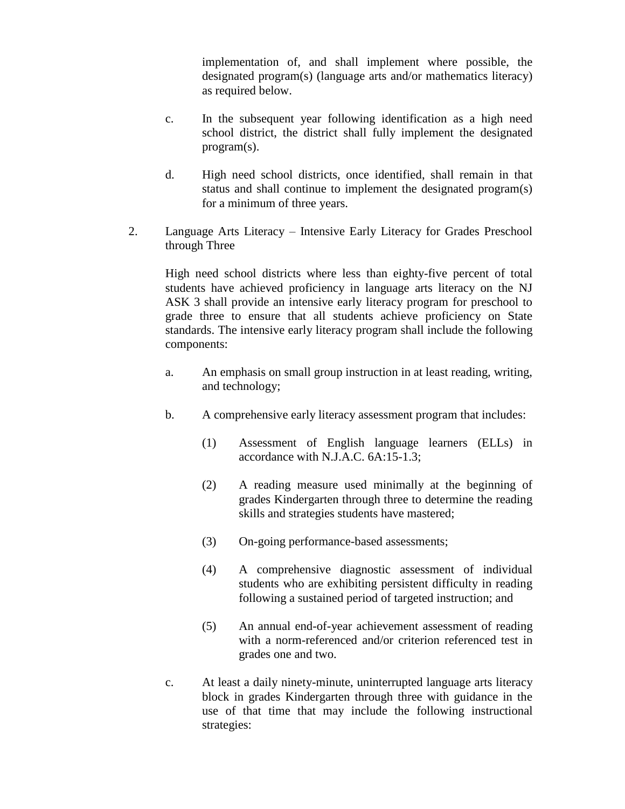implementation of, and shall implement where possible, the designated program(s) (language arts and/or mathematics literacy) as required below.

- c. In the subsequent year following identification as a high need school district, the district shall fully implement the designated program(s).
- d. High need school districts, once identified, shall remain in that status and shall continue to implement the designated program(s) for a minimum of three years.
- 2. Language Arts Literacy Intensive Early Literacy for Grades Preschool through Three

High need school districts where less than eighty-five percent of total students have achieved proficiency in language arts literacy on the NJ ASK 3 shall provide an intensive early literacy program for preschool to grade three to ensure that all students achieve proficiency on State standards. The intensive early literacy program shall include the following components:

- a. An emphasis on small group instruction in at least reading, writing, and technology;
- b. A comprehensive early literacy assessment program that includes:
	- (1) Assessment of English language learners (ELLs) in accordance with N.J.A.C. 6A:15-1.3;
	- (2) A reading measure used minimally at the beginning of grades Kindergarten through three to determine the reading skills and strategies students have mastered;
	- (3) On-going performance-based assessments;
	- (4) A comprehensive diagnostic assessment of individual students who are exhibiting persistent difficulty in reading following a sustained period of targeted instruction; and
	- (5) An annual end-of-year achievement assessment of reading with a norm-referenced and/or criterion referenced test in grades one and two.
- c. At least a daily ninety-minute, uninterrupted language arts literacy block in grades Kindergarten through three with guidance in the use of that time that may include the following instructional strategies: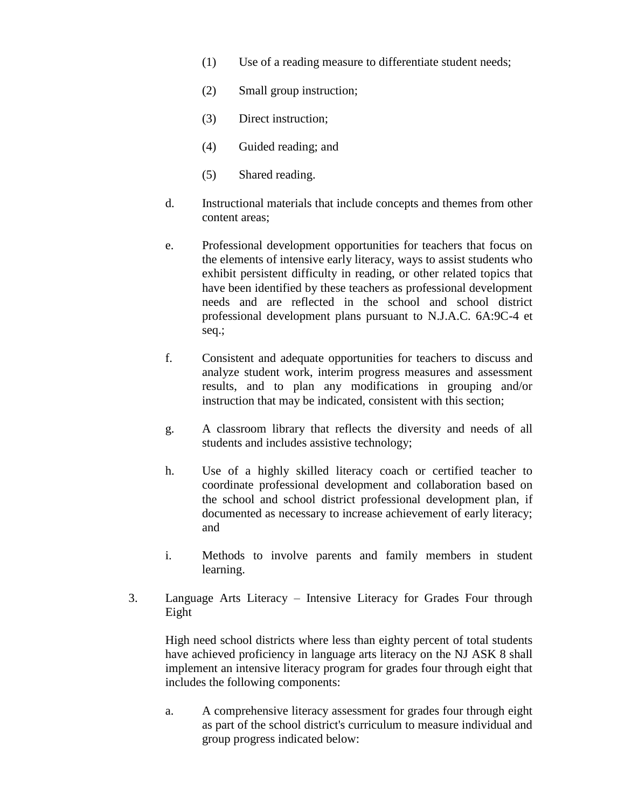- (1) Use of a reading measure to differentiate student needs;
- (2) Small group instruction;
- (3) Direct instruction;
- (4) Guided reading; and
- (5) Shared reading.
- d. Instructional materials that include concepts and themes from other content areas;
- e. Professional development opportunities for teachers that focus on the elements of intensive early literacy, ways to assist students who exhibit persistent difficulty in reading, or other related topics that have been identified by these teachers as professional development needs and are reflected in the school and school district professional development plans pursuant to N.J.A.C. 6A:9C-4 et seq.;
- f. Consistent and adequate opportunities for teachers to discuss and analyze student work, interim progress measures and assessment results, and to plan any modifications in grouping and/or instruction that may be indicated, consistent with this section;
- g. A classroom library that reflects the diversity and needs of all students and includes assistive technology;
- h. Use of a highly skilled literacy coach or certified teacher to coordinate professional development and collaboration based on the school and school district professional development plan, if documented as necessary to increase achievement of early literacy; and
- i. Methods to involve parents and family members in student learning.
- 3. Language Arts Literacy Intensive Literacy for Grades Four through Eight

High need school districts where less than eighty percent of total students have achieved proficiency in language arts literacy on the NJ ASK 8 shall implement an intensive literacy program for grades four through eight that includes the following components:

a. A comprehensive literacy assessment for grades four through eight as part of the school district's curriculum to measure individual and group progress indicated below: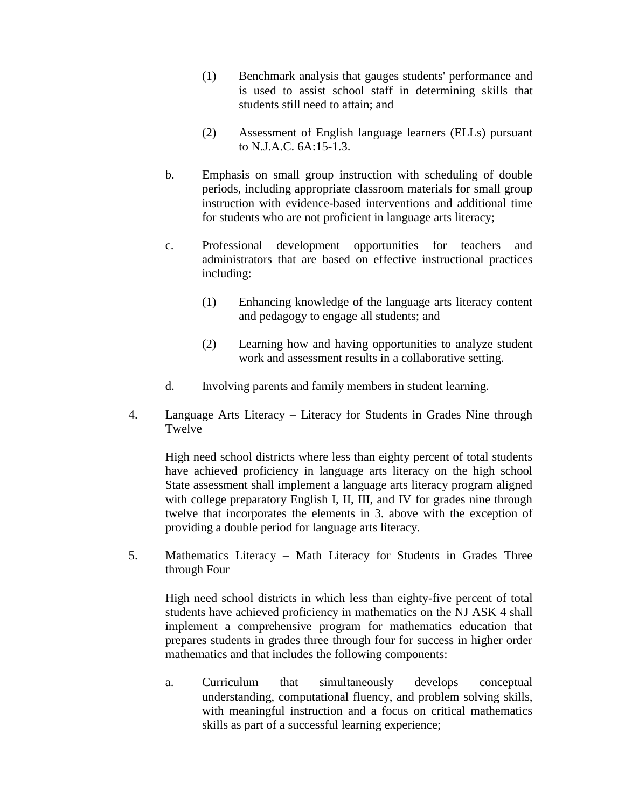- (1) Benchmark analysis that gauges students' performance and is used to assist school staff in determining skills that students still need to attain; and
- (2) Assessment of English language learners (ELLs) pursuant to N.J.A.C. 6A:15-1.3.
- b. Emphasis on small group instruction with scheduling of double periods, including appropriate classroom materials for small group instruction with evidence-based interventions and additional time for students who are not proficient in language arts literacy;
- c. Professional development opportunities for teachers and administrators that are based on effective instructional practices including:
	- (1) Enhancing knowledge of the language arts literacy content and pedagogy to engage all students; and
	- (2) Learning how and having opportunities to analyze student work and assessment results in a collaborative setting.
- d. Involving parents and family members in student learning.
- 4. Language Arts Literacy Literacy for Students in Grades Nine through Twelve

High need school districts where less than eighty percent of total students have achieved proficiency in language arts literacy on the high school State assessment shall implement a language arts literacy program aligned with college preparatory English I, II, III, and IV for grades nine through twelve that incorporates the elements in 3. above with the exception of providing a double period for language arts literacy.

5. Mathematics Literacy – Math Literacy for Students in Grades Three through Four

High need school districts in which less than eighty-five percent of total students have achieved proficiency in mathematics on the NJ ASK 4 shall implement a comprehensive program for mathematics education that prepares students in grades three through four for success in higher order mathematics and that includes the following components:

a. Curriculum that simultaneously develops conceptual understanding, computational fluency, and problem solving skills, with meaningful instruction and a focus on critical mathematics skills as part of a successful learning experience;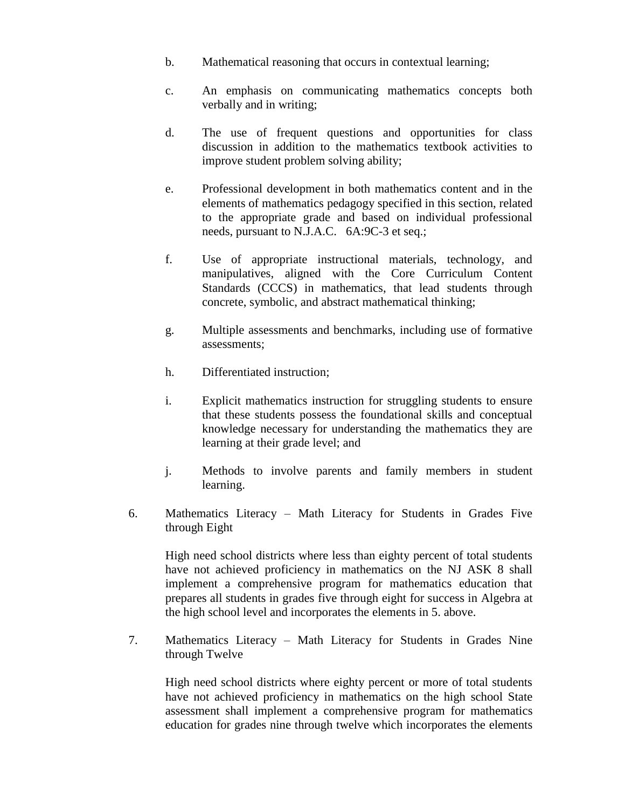- b. Mathematical reasoning that occurs in contextual learning;
- c. An emphasis on communicating mathematics concepts both verbally and in writing;
- d. The use of frequent questions and opportunities for class discussion in addition to the mathematics textbook activities to improve student problem solving ability;
- e. Professional development in both mathematics content and in the elements of mathematics pedagogy specified in this section, related to the appropriate grade and based on individual professional needs, pursuant to N.J.A.C. 6A:9C-3 et seq.;
- f. Use of appropriate instructional materials, technology, and manipulatives, aligned with the Core Curriculum Content Standards (CCCS) in mathematics, that lead students through concrete, symbolic, and abstract mathematical thinking;
- g. Multiple assessments and benchmarks, including use of formative assessments;
- h. Differentiated instruction;
- i. Explicit mathematics instruction for struggling students to ensure that these students possess the foundational skills and conceptual knowledge necessary for understanding the mathematics they are learning at their grade level; and
- j. Methods to involve parents and family members in student learning.
- 6. Mathematics Literacy Math Literacy for Students in Grades Five through Eight

High need school districts where less than eighty percent of total students have not achieved proficiency in mathematics on the NJ ASK 8 shall implement a comprehensive program for mathematics education that prepares all students in grades five through eight for success in Algebra at the high school level and incorporates the elements in 5. above.

7. Mathematics Literacy – Math Literacy for Students in Grades Nine through Twelve

High need school districts where eighty percent or more of total students have not achieved proficiency in mathematics on the high school State assessment shall implement a comprehensive program for mathematics education for grades nine through twelve which incorporates the elements